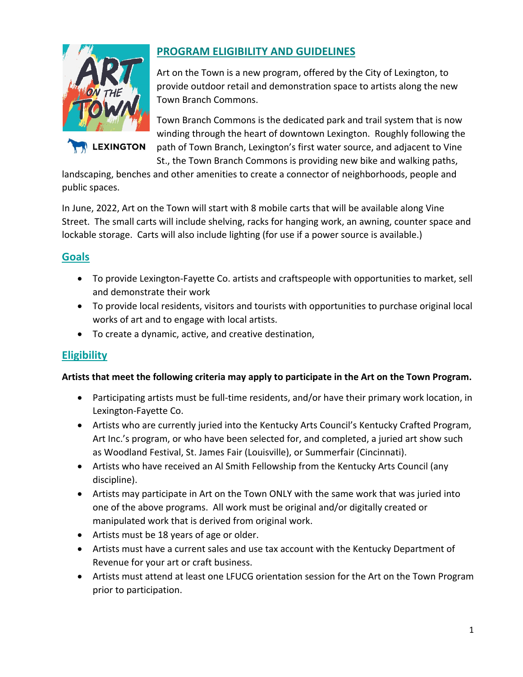

LEXINGTON

# **PROGRAM ELIGIBILITY AND GUIDELINES**

Art on the Town is a new program, offered by the City of Lexington, to provide outdoor retail and demonstration space to artists along the new Town Branch Commons.

Town Branch Commons is the dedicated park and trail system that is now winding through the heart of downtown Lexington. Roughly following the path of Town Branch, Lexington's first water source, and adjacent to Vine St., the Town Branch Commons is providing new bike and walking paths,

landscaping, benches and other amenities to create a connector of neighborhoods, people and public spaces.

In June, 2022, Art on the Town will start with 8 mobile carts that will be available along Vine Street. The small carts will include shelving, racks for hanging work, an awning, counter space and lockable storage. Carts will also include lighting (for use if a power source is available.)

### **Goals**

- To provide Lexington-Fayette Co. artists and craftspeople with opportunities to market, sell and demonstrate their work
- To provide local residents, visitors and tourists with opportunities to purchase original local works of art and to engage with local artists.
- To create a dynamic, active, and creative destination,

## **Eligibility**

#### **Artists that meet the following criteria may apply to participate in the Art on the Town Program.**

- Participating artists must be full-time residents, and/or have their primary work location, in Lexington-Fayette Co.
- Artists who are currently juried into the Kentucky Arts Council's Kentucky Crafted Program, Art Inc.'s program, or who have been selected for, and completed, a juried art show such as Woodland Festival, St. James Fair (Louisville), or Summerfair (Cincinnati).
- Artists who have received an Al Smith Fellowship from the Kentucky Arts Council (any discipline).
- Artists may participate in Art on the Town ONLY with the same work that was juried into one of the above programs. All work must be original and/or digitally created or manipulated work that is derived from original work.
- Artists must be 18 years of age or older.
- Artists must have a current sales and use tax account with the Kentucky Department of Revenue for your art or craft business.
- Artists must attend at least one LFUCG orientation session for the Art on the Town Program prior to participation.